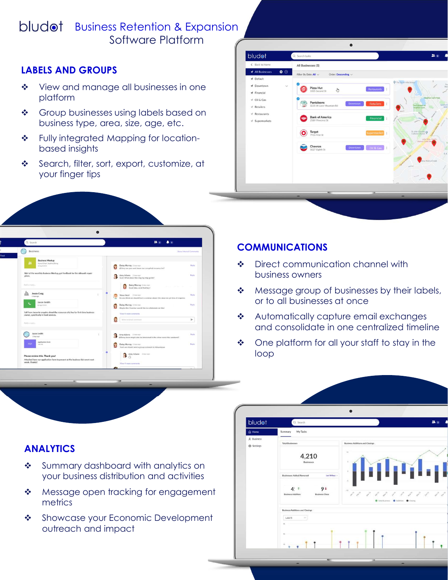# bludot Business Retention & Expansion Software Platform and the software Platform of the set of the set of the set of the set of the set of the set o

# LABELS AND GROUPS

- View and manage all businesses in one  $\blacksquare$
- Group businesses using labels based on business type, area, size, age, etc.
- based insights
- Search, filter, sort, export, customize, at your finger tips





### COMMUNICATIONS

- ◆ Direct communication channel with business owners
- or to all businesses at once
- \* Automatically capture email exchanges and consolidate in one centralized timeline
- loop

## ANALYTICS

- Summary dashboard with analytics on your business distribution and activities
- \* Message open tracking for engagement metrics
- outreach and impact